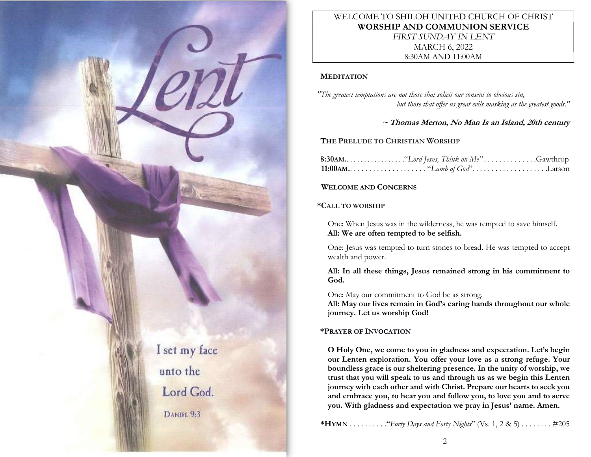

# WELCOME TO SHILOH UNITED CHURCH OF CHRIST WORSHIP AND COMMUNION SERVICE FIRST SUNDAY IN LENT MARCH 6, 2022 8:30AM AND 11:00AM

#### **MEDITATION**

"The greatest temptations are not those that solicit our consent to obvious sin, but those that offer us great evils masking as the greatest goods."

 $\sim$  Thomas Merton, No Man Is an Island, 20th century

# THE PRELUDE TO CHRISTIAN WORSHIP

| <b>11:00 AM.</b> $\ldots \ldots \ldots \ldots \ldots \ldots$ "Lamb of God". $\ldots \ldots \ldots \ldots \ldots \ldots \ldots$ |  |
|--------------------------------------------------------------------------------------------------------------------------------|--|

## WELCOME AND CONCERNS

#### \*CALL TO WORSHIP

One: When Jesus was in the wilderness, he was tempted to save himself. All: We are often tempted to be selfish.

One: Jesus was tempted to turn stones to bread. He was tempted to accept wealth and power.

All: In all these things, Jesus remained strong in his commitment to God.

One: May our commitment to God be as strong.

All: May our lives remain in God's caring hands throughout our whole journey. Let us worship God!

## \*PRAYER OF INVOCATION

O Holy One, we come to you in gladness and expectation. Let's begin our Lenten exploration. You offer your love as a strong refuge. Your boundless grace is our sheltering presence. In the unity of worship, we trust that you will speak to us and through us as we begin this Lenten journey with each other and with Christ. Prepare our hearts to seek you and embrace you, to hear you and follow you, to love you and to serve you. With gladness and expectation we pray in Jesus' name. Amen.

\*HYMN . . . . . . . . . ."Forty Days and Forty Nights" (Vs. 1, 2 & 5) . . . . . . . . #205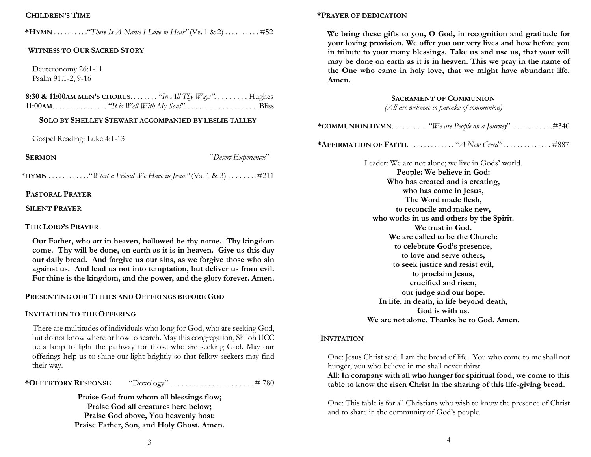## CHILDREN'S TIME

\*HYMN  $\dots\dots\dots$  "There Is A Name I Love to Hear" (Vs. 1 & 2)  $\dots\dots\dots$  #52

#### WITNESS TO OUR SACRED STORY

Deuteronomy 26:1-11 Psalm 91:1-2, 9-16

8:30 & 11:00AM MEN'S CHORUS. . . . . . . . . "In All Thy  $Ways$ ". . . . . . . . . Hughes 11:00AM. . . . . . . . . . . . . . . . "It is Well With My Soul". . . . . . . . . . . . . . . . . . . .Bliss

#### SOLO BY SHELLEY STEWART ACCOMPANIED BY LESLIE TALLEY

Gospel Reading: Luke 4:1-13

SERMON "Desert Experiences"

\*HYMN  $\dots\dots\dots\dots$  "What a Friend We Have in Jesus" (Vs. 1 & 3)  $\dots\dots\dots$  #211

#### PASTORAL PRAYER

SILENT PRAYER

#### THE LORD'S PRAYER

Our Father, who art in heaven, hallowed be thy name. Thy kingdom come. Thy will be done, on earth as it is in heaven. Give us this day our daily bread. And forgive us our sins, as we forgive those who sin against us. And lead us not into temptation, but deliver us from evil. For thine is the kingdom, and the power, and the glory forever. Amen.

#### PRESENTING OUR TITHES AND OFFERINGS BEFORE GOD

#### INVITATION TO THE OFFERING

There are multitudes of individuals who long for God, who are seeking God, but do not know where or how to search. May this congregation, Shiloh UCC be a lamp to light the pathway for those who are seeking God. May our offerings help us to shine our light brightly so that fellow-seekers may find their way.

| *OFFERTORY RESPONSE | "Doxology"# 780 |  |
|---------------------|-----------------|--|
|---------------------|-----------------|--|

Praise God from whom all blessings flow; Praise God all creatures here below; Praise God above, You heavenly host: Praise Father, Son, and Holy Ghost. Amen.

## \*PRAYER OF DEDICATION

We bring these gifts to you, O God, in recognition and gratitude for your loving provision. We offer you our very lives and bow before you in tribute to your many blessings. Take us and use us, that your will may be done on earth as it is in heaven. This we pray in the name of the One who came in holy love, that we might have abundant life. Amen.

#### SACRAMENT OF COMMUNION

(All are welcome to partake of communion)

|--|--|--|--|--|--|--|--|--|

\*AFFIRMATION OF FAITH. . . . . . . . . . . . . . "A New Creed" . . . . . . . . . . . . . . #887

Leader: We are not alone; we live in Gods' world. People: We believe in God: Who has created and is creating, who has come in Jesus, The Word made flesh, to reconcile and make new, who works in us and others by the Spirit. We trust in God. We are called to be the Church: to celebrate God's presence, to love and serve others, to seek justice and resist evil, to proclaim Jesus, crucified and risen, our judge and our hope. In life, in death, in life beyond death, God is with us. We are not alone. Thanks be to God. Amen.

#### **INVITATION**

One: Jesus Christ said: I am the bread of life. You who come to me shall not hunger; you who believe in me shall never thirst.

All: In company with all who hunger for spiritual food, we come to this table to know the risen Christ in the sharing of this life-giving bread.

One: This table is for all Christians who wish to know the presence of Christ and to share in the community of God's people.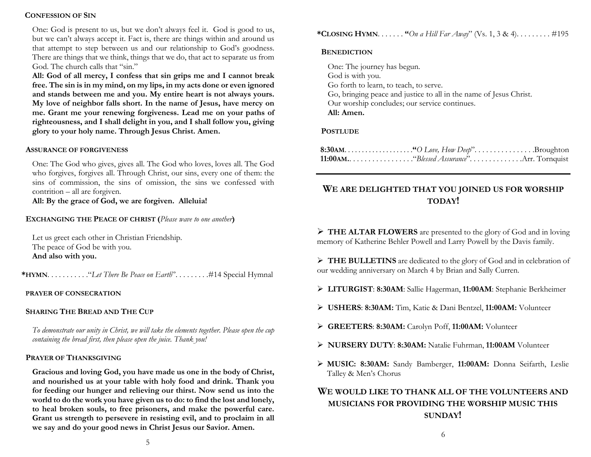## CONFESSION OF SIN

One: God is present to us, but we don't always feel it. God is good to us, but we can't always accept it. Fact is, there are things within and around us that attempt to step between us and our relationship to God's goodness. There are things that we think, things that we do, that act to separate us from God. The church calls that "sin."

All: God of all mercy, I confess that sin grips me and I cannot break free. The sin is in my mind, on my lips, in my acts done or even ignored and stands between me and you. My entire heart is not always yours. My love of neighbor falls short. In the name of Jesus, have mercy on me. Grant me your renewing forgiveness. Lead me on your paths of righteousness, and I shall delight in you, and I shall follow you, giving glory to your holy name. Through Jesus Christ. Amen.

## ASSURANCE OF FORGIVENESS

One: The God who gives, gives all. The God who loves, loves all. The God who forgives, forgives all. Through Christ, our sins, every one of them: the sins of commission, the sins of omission, the sins we confessed with contrition – all are forgiven.

All: By the grace of God, we are forgiven. Alleluia!

# EXCHANGING THE PEACE OF CHRIST (Please wave to one another)

Let us greet each other in Christian Friendship. The peace of God be with you. And also with you.

\*HYMN. . . . . . . . . . . . "Let There Be Peace on Earth". . . . . . . . . . #14 Special Hymnal

## PRAYER OF CONSECRATION

# SHARING THE BREAD AND THE CUP

To demonstrate our unity in Christ, we will take the elements together. Please open the cup containing the bread first, then please open the juice. Thank you!

## PRAYER OF THANKSGIVING

Gracious and loving God, you have made us one in the body of Christ, and nourished us at your table with holy food and drink. Thank you for feeding our hunger and relieving our thirst. Now send us into the world to do the work you have given us to do: to find the lost and lonely, to heal broken souls, to free prisoners, and make the powerful care. Grant us strength to persevere in resisting evil, and to proclaim in all we say and do your good news in Christ Jesus our Savior. Amen.

\*CLOSING HYMN. . . . . . . "On a Hill Far Away" (Vs. 1, 3 & 4). . . . . . . . . . #195

#### **BENEDICTION**

One: The journey has begun. God is with you. Go forth to learn, to teach, to serve. Go, bringing peace and justice to all in the name of Jesus Christ. Our worship concludes; our service continues. All: Amen.

# **POSTLUDE**

# WE ARE DELIGHTED THAT YOU JOINED US FOR WORSHIP TODAY!

 THE ALTAR FLOWERS are presented to the glory of God and in loving memory of Katherine Behler Powell and Larry Powell by the Davis family.

> THE BULLETINS are dedicated to the glory of God and in celebration of our wedding anniversary on March 4 by Brian and Sally Curren.

- LITURGIST: 8:30AM: Sallie Hagerman, 11:00AM: Stephanie Berkheimer
- USHERS: 8:30AM: Tim, Katie & Dani Bentzel, 11:00AM: Volunteer
- GREETERS: 8:30AM: Carolyn Poff, 11:00AM: Volunteer
- NURSERY DUTY: 8:30AM: Natalie Fuhrman, 11:00AM Volunteer
- MUSIC: 8:30AM: Sandy Bamberger, 11:00AM: Donna Seifarth, Leslie Talley & Men's Chorus

# WE WOULD LIKE TO THANK ALL OF THE VOLUNTEERS AND MUSICIANS FOR PROVIDING THE WORSHIP MUSIC THIS SUNDAY!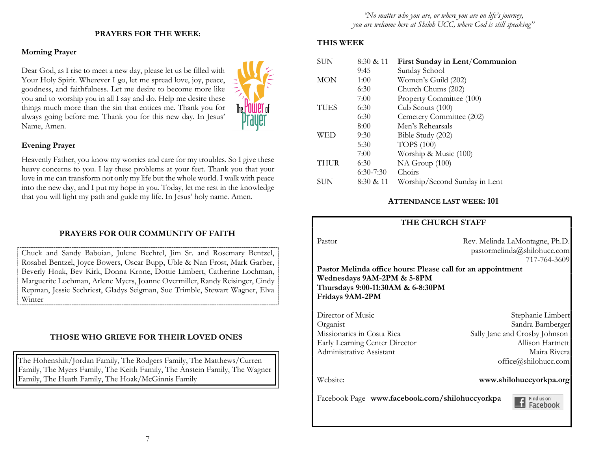# PRAYERS FOR THE WEEK:

# Morning Prayer

Dear God, as I rise to meet a new day, please let us be filled with Your Holy Spirit. Wherever I go, let me spread love, joy, peace, goodness, and faithfulness. Let me desire to become more like you and to worship you in all I say and do. Help me desire these things much more than the sin that entices me. Thank you for always going before me. Thank you for this new day. In Jesus' Name, Amen.



# Evening Prayer

Heavenly Father, you know my worries and care for my troubles. So I give these heavy concerns to you. I lay these problems at your feet. Thank you that your love in me can transform not only my life but the whole world. I walk with peace into the new day, and I put my hope in you. Today, let me rest in the knowledge that you will light my path and guide my life. In Jesus' holy name. Amen.

## PRAYERS FOR OUR COMMUNITY OF FAITH

Chuck and Sandy Baboian, Julene Bechtel, Jim Sr. and Rosemary Bentzel, Rosabel Bentzel, Joyce Bowers, Oscar Bupp, Uble & Nan Frost, Mark Garber, Beverly Hoak, Bev Kirk, Donna Krone, Dottie Limbert, Catherine Lochman, Marguerite Lochman, Arlene Myers, Joanne Overmiller, Randy Reisinger, Cindy Repman, Jessie Sechriest, Gladys Seigman, Sue Trimble, Stewart Wagner, Elva Winter

#### THOSE WHO GRIEVE FOR THEIR LOVED ONES

The Hohenshilt/Jordan Family, The Rodgers Family, The Matthews/Curren Family, The Myers Family, The Keith Family, The Anstein Family, The Wagner Family, The Heath Family, The Hoak/McGinnis Family

#### THIS WEEK

| <b>SUN</b>  | 8:30 & 11   | First Sunday in Lent/Communion |
|-------------|-------------|--------------------------------|
|             | 9:45        | Sunday School                  |
| <b>MON</b>  | 1:00        | Women's Guild (202)            |
|             | 6:30        | Church Chums (202)             |
|             | 7:00        | Property Committee (100)       |
| <b>TUES</b> | 6:30        | Cub Scouts (100)               |
|             | 6:30        | Cemetery Committee (202)       |
|             | 8:00        | Men's Rehearsals               |
| WED         | 9:30        | Bible Study (202)              |
|             | 5:30        | <b>TOPS</b> (100)              |
|             | 7:00        | Worship & Music (100)          |
| <b>THUR</b> | 6:30        | NA Group (100)                 |
|             | $6:30-7:30$ | Choirs                         |
| SUN         | 8:30 & 11   | Worship/Second Sunday in Lent  |

#### ATTENDANCE LAST WEEK: 101

## THE CHURCH STAFF

Pastor Rev. Melinda LaMontagne, Ph.D. pastormelinda@shilohucc.com 717-764-3609

Pastor Melinda office hours: Please call for an appointment Wednesdays 9AM-2PM & 5-8PM Thursdays 9:00-11:30AM & 6-8:30PM Fridays 9AM-2PM

Director of Music Stephanie Limbert Organist Sandra Bamberger Missionaries in Costa Rica Sally Jane and Crosby Johnson Early Learning Center Director Allison Hartnett Administrative Assistant and Maira Rivera

office@shilohucc.com

#### Website: www.shilohuccyorkpa.org

Facebook Page www.facebook.com/shilohuccyorkpa